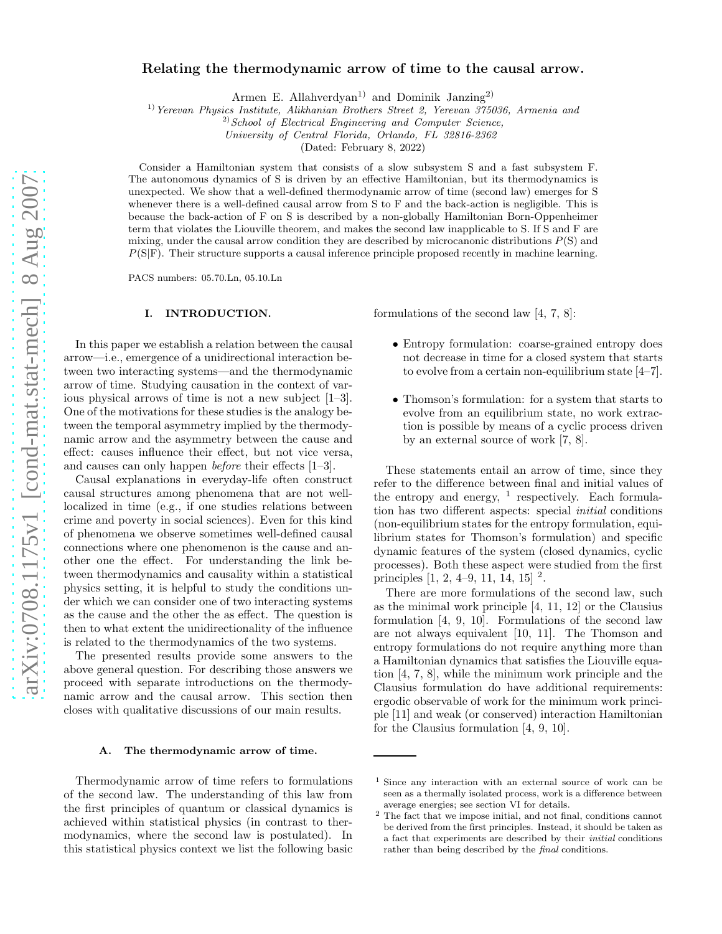# Relating the thermodynamic arrow of time to the causal arrow.

Armen E. Allahverdyan<sup>1)</sup> and Dominik Janzing<sup>2)</sup>

1)*Yerevan Physics Institute, Alikhanian Brothers Street 2, Yerevan 375036, Armenia and*

2)*School of Electrical Engineering and Computer Science,*

*University of Central Florida, Orlando, FL 32816-2362*

(Dated: February 8, 2022)

Consider a Hamiltonian system that consists of a slow subsystem S and a fast subsystem F. The autonomous dynamics of S is driven by an effective Hamiltonian, but its thermodynamics is unexpected. We show that a well-defined thermodynamic arrow of time (second law) emerges for S whenever there is a well-defined causal arrow from S to F and the back-action is negligible. This is because the back-action of F on S is described by a non-globally Hamiltonian Born-Oppenheimer term that violates the Liouville theorem, and makes the second law inapplicable to S. If S and F are mixing, under the causal arrow condition they are described by microcanonic distributions  $P(S)$  and  $P(S|F)$ . Their structure supports a causal inference principle proposed recently in machine learning.

PACS numbers: 05.70.Ln, 05.10.Ln

#### I. INTRODUCTION.

In this paper we establish a relation between the causal arrow—i.e., emergence of a unidirectional interaction between two interacting systems—and the thermodynamic arrow of time. Studying causation in the context of various physical arrows of time is not a new subject [1–3]. One of the motivations for these studies is the analogy between the temporal asymmetry implied by the thermodynamic arrow and the asymmetry between the cause and effect: causes influence their effect, but not vice versa, and causes can only happen before their effects [1–3].

Causal explanations in everyday-life often construct causal structures among phenomena that are not welllocalized in time (e.g., if one studies relations between crime and poverty in social sciences). Even for this kind of phenomena we observe sometimes well-defined causal connections where one phenomenon is the cause and another one the effect. For understanding the link between thermodynamics and causality within a statistical physics setting, it is helpful to study the conditions under which we can consider one of two interacting systems as the cause and the other the as effect. The question is then to what extent the unidirectionality of the influence is related to the thermodynamics of the two systems.

The presented results provide some answers to the above general question. For describing those answers we proceed with separate introductions on the thermodynamic arrow and the causal arrow. This section then closes with qualitative discussions of our main results.

## A. The thermodynamic arrow of time.

Thermodynamic arrow of time refers to formulations of the second law. The understanding of this law from the first principles of quantum or classical dynamics is achieved within statistical physics (in contrast to thermodynamics, where the second law is postulated). In this statistical physics context we list the following basic formulations of the second law [4, 7, 8]:

- Entropy formulation: coarse-grained entropy does not decrease in time for a closed system that starts to evolve from a certain non-equilibrium state [4–7].
- Thomson's formulation: for a system that starts to evolve from an equilibrium state, no work extraction is possible by means of a cyclic process driven by an external source of work [7, 8].

These statements entail an arrow of time, since they refer to the difference between final and initial values of the entropy and energy,  $\frac{1}{1}$  respectively. Each formulation has two different aspects: special initial conditions (non-equilibrium states for the entropy formulation, equilibrium states for Thomson's formulation) and specific dynamic features of the system (closed dynamics, cyclic processes). Both these aspect were studied from the first principles [1, 2, 4–9, 11, 14, 15] <sup>2</sup>.

There are more formulations of the second law, such as the minimal work principle [4, 11, 12] or the Clausius formulation [4, 9, 10]. Formulations of the second law are not always equivalent [10, 11]. The Thomson and entropy formulations do not require anything more than a Hamiltonian dynamics that satisfies the Liouville equation [4, 7, 8], while the minimum work principle and the Clausius formulation do have additional requirements: ergodic observable of work for the minimum work principle [11] and weak (or conserved) interaction Hamiltonian for the Clausius formulation [4, 9, 10].

<sup>&</sup>lt;sup>1</sup> Since any interaction with an external source of work can be seen as a thermally isolated process, work is a difference between average energies; see section VI for details.

<sup>2</sup> The fact that we impose initial, and not final, conditions cannot be derived from the first principles. Instead, it should be taken as a fact that experiments are described by their initial conditions rather than being described by the final conditions.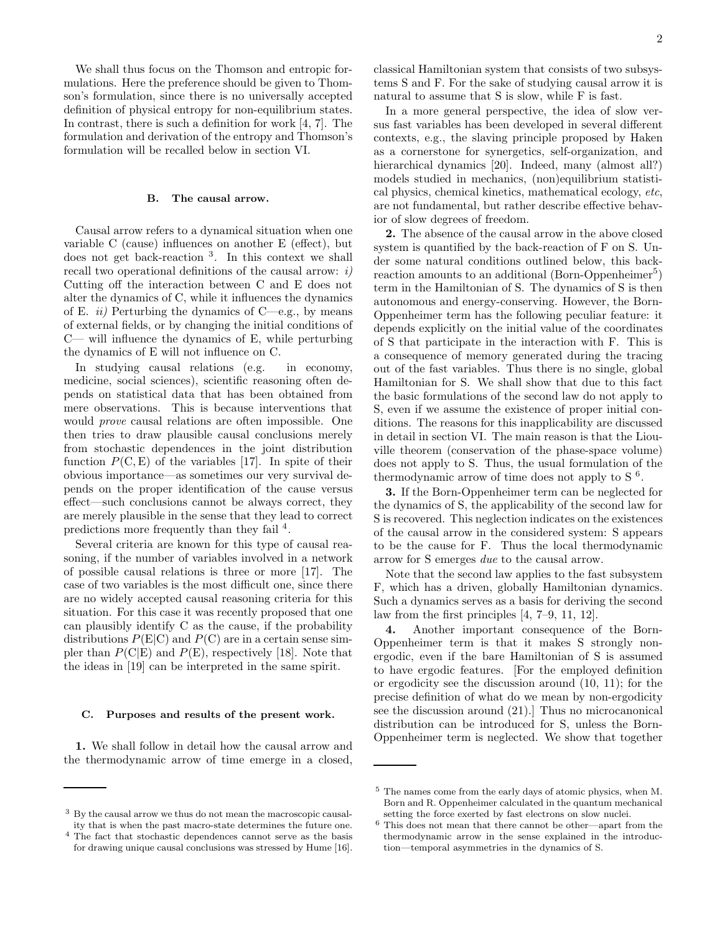We shall thus focus on the Thomson and entropic formulations. Here the preference should be given to Thomson's formulation, since there is no universally accepted definition of physical entropy for non-equilibrium states. In contrast, there is such a definition for work [4, 7]. The formulation and derivation of the entropy and Thomson's formulation will be recalled below in section VI.

### B. The causal arrow.

Causal arrow refers to a dynamical situation when one variable C (cause) influences on another E (effect), but does not get back-reaction <sup>3</sup> . In this context we shall recall two operational definitions of the causal arrow:  $i$ ) Cutting off the interaction between C and E does not alter the dynamics of C, while it influences the dynamics of E. *ii*) Perturbing the dynamics of C—e.g., by means of external fields, or by changing the initial conditions of C— will influence the dynamics of E, while perturbing the dynamics of E will not influence on C.

In studying causal relations (e.g. in economy, medicine, social sciences), scientific reasoning often depends on statistical data that has been obtained from mere observations. This is because interventions that would prove causal relations are often impossible. One then tries to draw plausible causal conclusions merely from stochastic dependences in the joint distribution function  $P(C, E)$  of the variables [17]. In spite of their obvious importance—as sometimes our very survival depends on the proper identification of the cause versus effect—such conclusions cannot be always correct, they are merely plausible in the sense that they lead to correct predictions more frequently than they fail <sup>4</sup>.

Several criteria are known for this type of causal reasoning, if the number of variables involved in a network of possible causal relations is three or more [17]. The case of two variables is the most difficult one, since there are no widely accepted causal reasoning criteria for this situation. For this case it was recently proposed that one can plausibly identify C as the cause, if the probability distributions  $P(E|C)$  and  $P(C)$  are in a certain sense simpler than  $P(C|E)$  and  $P(E)$ , respectively [18]. Note that the ideas in [19] can be interpreted in the same spirit.

#### C. Purposes and results of the present work.

1. We shall follow in detail how the causal arrow and the thermodynamic arrow of time emerge in a closed, classical Hamiltonian system that consists of two subsystems S and F. For the sake of studying causal arrow it is natural to assume that S is slow, while F is fast.

In a more general perspective, the idea of slow versus fast variables has been developed in several different contexts, e.g., the slaving principle proposed by Haken as a cornerstone for synergetics, self-organization, and hierarchical dynamics [20]. Indeed, many (almost all?) models studied in mechanics, (non)equilibrium statistical physics, chemical kinetics, mathematical ecology, etc, are not fundamental, but rather describe effective behavior of slow degrees of freedom.

2. The absence of the causal arrow in the above closed system is quantified by the back-reaction of F on S. Under some natural conditions outlined below, this backreaction amounts to an additional (Born-Oppenheimer<sup>5</sup>) term in the Hamiltonian of S. The dynamics of S is then autonomous and energy-conserving. However, the Born-Oppenheimer term has the following peculiar feature: it depends explicitly on the initial value of the coordinates of S that participate in the interaction with F. This is a consequence of memory generated during the tracing out of the fast variables. Thus there is no single, global Hamiltonian for S. We shall show that due to this fact the basic formulations of the second law do not apply to S, even if we assume the existence of proper initial conditions. The reasons for this inapplicability are discussed in detail in section VI. The main reason is that the Liouville theorem (conservation of the phase-space volume) does not apply to S. Thus, the usual formulation of the thermodynamic arrow of time does not apply to  $S<sup>6</sup>$ .

3. If the Born-Oppenheimer term can be neglected for the dynamics of S, the applicability of the second law for S is recovered. This neglection indicates on the existences of the causal arrow in the considered system: S appears to be the cause for F. Thus the local thermodynamic arrow for S emerges due to the causal arrow.

Note that the second law applies to the fast subsystem F, which has a driven, globally Hamiltonian dynamics. Such a dynamics serves as a basis for deriving the second law from the first principles [4, 7–9, 11, 12].

4. Another important consequence of the Born-Oppenheimer term is that it makes S strongly nonergodic, even if the bare Hamiltonian of S is assumed to have ergodic features. [For the employed definition or ergodicity see the discussion around (10, 11); for the precise definition of what do we mean by non-ergodicity see the discussion around (21).] Thus no microcanonical distribution can be introduced for S, unless the Born-Oppenheimer term is neglected. We show that together

<sup>3</sup> By the causal arrow we thus do not mean the macroscopic causality that is when the past macro-state determines the future one.

<sup>4</sup> The fact that stochastic dependences cannot serve as the basis for drawing unique causal conclusions was stressed by Hume [16].

<sup>5</sup> The names come from the early days of atomic physics, when M. Born and R. Oppenheimer calculated in the quantum mechanical setting the force exerted by fast electrons on slow nuclei.

 $^6$  This does not mean that there cannot be other—apart from the  $\,$ thermodynamic arrow in the sense explained in the introduction—temporal asymmetries in the dynamics of S.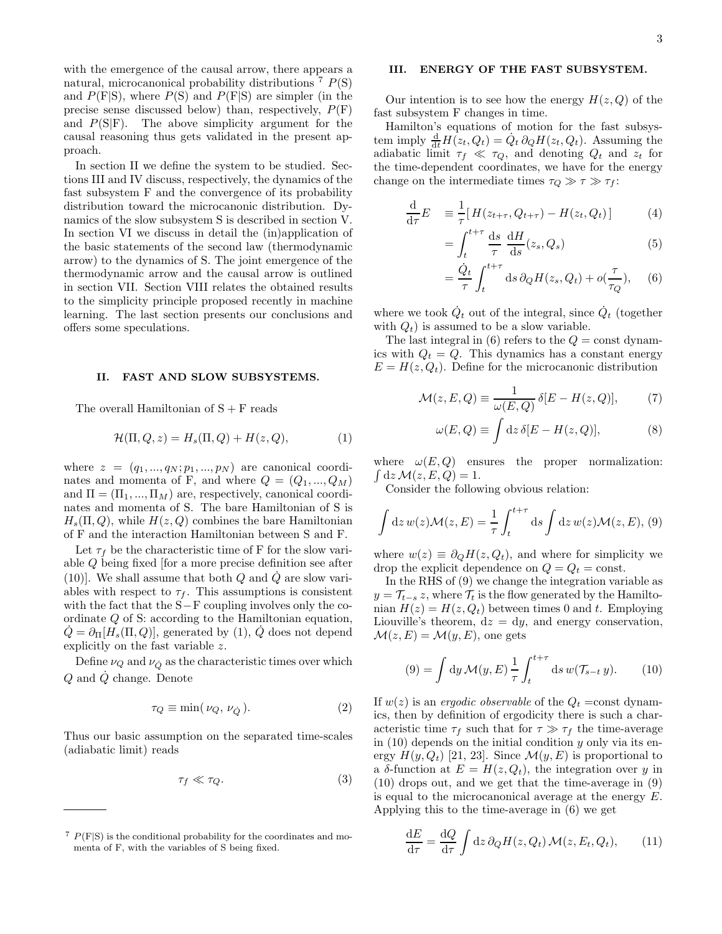with the emergence of the causal arrow, there appears a natural, microcanonical probability distributions  $7 P(S)$ and  $P(F|S)$ , where  $P(S)$  and  $P(F|S)$  are simpler (in the precise sense discussed below) than, respectively,  $P(F)$ and  $P(S|F)$ . The above simplicity argument for the causal reasoning thus gets validated in the present approach.

In section II we define the system to be studied. Sections III and IV discuss, respectively, the dynamics of the fast subsystem F and the convergence of its probability distribution toward the microcanonic distribution. Dynamics of the slow subsystem S is described in section V. In section VI we discuss in detail the (in)application of the basic statements of the second law (thermodynamic arrow) to the dynamics of S. The joint emergence of the thermodynamic arrow and the causal arrow is outlined in section VII. Section VIII relates the obtained results to the simplicity principle proposed recently in machine learning. The last section presents our conclusions and offers some speculations.

## II. FAST AND SLOW SUBSYSTEMS.

The overall Hamiltonian of  $S + F$  reads

$$
\mathcal{H}(\Pi, Q, z) = H_s(\Pi, Q) + H(z, Q),\tag{1}
$$

where  $z = (q_1, ..., q_N; p_1, ..., p_N)$  are canonical coordinates and momenta of F, and where  $Q = (Q_1, ..., Q_M)$ and  $\Pi = (\Pi_1, ..., \Pi_M)$  are, respectively, canonical coordinates and momenta of S. The bare Hamiltonian of S is  $H_s(\Pi, Q)$ , while  $H(z, Q)$  combines the bare Hamiltonian of F and the interaction Hamiltonian between S and F.

Let  $\tau_f$  be the characteristic time of F for the slow variable Q being fixed [for a more precise definition see after (10)]. We shall assume that both  $Q$  and  $\dot{Q}$  are slow variables with respect to  $\tau_f$ . This assumptions is consistent with the fact that the S−F coupling involves only the coordinate Q of S: according to the Hamiltonian equation,  $Q = \partial_{\Pi} [H_s(\Pi, Q)]$ , generated by (1), Q does not depend explicitly on the fast variable z.

Define  $\nu_Q$  and  $\nu_{\dot{\Omega}}$  as the characteristic times over which  $Q$  and  $\dot{Q}$  change. Denote

$$
\tau_Q \equiv \min(\nu_Q, \nu_{\dot{Q}}). \tag{2}
$$

Thus our basic assumption on the separated time-scales (adiabatic limit) reads

$$
\tau_f \ll \tau_Q. \tag{3}
$$

# III. ENERGY OF THE FAST SUBSYSTEM.

Our intention is to see how the energy  $H(z, Q)$  of the fast subsystem F changes in time.

Hamilton's equations of motion for the fast subsystem imply  $\frac{d}{dt}H(z_t, Q_t) = \dot{Q}_t \, \partial_Q H(z_t, Q_t)$ . Assuming the adiabatic limit  $\tau_f \ll \tau_Q$ , and denoting  $Q_t$  and  $z_t$  for the time-dependent coordinates, we have for the energy change on the intermediate times  $\tau_Q \gg \tau \gg \tau_f$ :

$$
\frac{\mathrm{d}}{\mathrm{d}\tau}E = \frac{1}{\tau} [H(z_{t+\tau}, Q_{t+\tau}) - H(z_t, Q_t)] \tag{4}
$$

$$
= \int_{t}^{t+\tau} \frac{\mathrm{d}s}{\tau} \frac{\mathrm{d}H}{\mathrm{d}s}(z_s, Q_s) \tag{5}
$$

$$
= \frac{\dot{Q}_t}{\tau} \int_t^{t+\tau} ds \, \partial_Q H(z_s, Q_t) + o(\frac{\tau}{\tau_Q}), \quad (6)
$$

where we took  $\dot{Q}_t$  out of the integral, since  $\dot{Q}_t$  (together with  $Q_t$ ) is assumed to be a slow variable.

The last integral in  $(6)$  refers to the  $Q = \text{const}$  dynamics with  $Q_t = Q$ . This dynamics has a constant energy  $E = H(z, Q_t)$ . Define for the microcanonic distribution

$$
\mathcal{M}(z, E, Q) \equiv \frac{1}{\omega(E, Q)} \, \delta[E - H(z, Q)],\tag{7}
$$

$$
\omega(E,Q) \equiv \int \mathrm{d}z \,\delta[E - H(z,Q)],\tag{8}
$$

where  $\omega(E,Q)$  ensures the proper normalization:  $\int dz \mathcal{M}(z, E, Q) = 1.$ 

Consider the following obvious relation:

$$
\int dz w(z) \mathcal{M}(z, E) = \frac{1}{\tau} \int_{t}^{t+\tau} ds \int dz w(z) \mathcal{M}(z, E), (9)
$$

where  $w(z) \equiv \partial_Q H(z, Q_t)$ , and where for simplicity we drop the explicit dependence on  $Q = Q_t = \text{const.}$ 

In the RHS of (9) we change the integration variable as  $y = \mathcal{T}_{t-s} z$ , where  $\mathcal{T}_t$  is the flow generated by the Hamiltonian  $H(z) = H(z, Q_t)$  between times 0 and t. Employing Liouville's theorem,  $dz = dy$ , and energy conservation,  $\mathcal{M}(z, E) = \mathcal{M}(y, E)$ , one gets

$$
(9) = \int dy \mathcal{M}(y, E) \frac{1}{\tau} \int_{t}^{t+\tau} ds w(\mathcal{T}_{s-t} y). \qquad (10)
$$

If  $w(z)$  is an ergodic observable of the  $Q_t = \text{const}$  dynamics, then by definition of ergodicity there is such a characteristic time  $\tau_f$  such that for  $\tau \gg \tau_f$  the time-average in  $(10)$  depends on the initial condition y only via its energy  $H(y, Q_t)$  [21, 23]. Since  $\mathcal{M}(y, E)$  is proportional to a  $\delta$ -function at  $E = H(z, Q_t)$ , the integration over y in (10) drops out, and we get that the time-average in (9) is equal to the microcanonical average at the energy E. Applying this to the time-average in (6) we get

$$
\frac{\mathrm{d}E}{\mathrm{d}\tau} = \frac{\mathrm{d}Q}{\mathrm{d}\tau} \int \mathrm{d}z \,\partial_Q H(z, Q_t) \mathcal{M}(z, E_t, Q_t), \qquad (11)
$$

 $7 P(F|S)$  is the conditional probability for the coordinates and momenta of F, with the variables of S being fixed.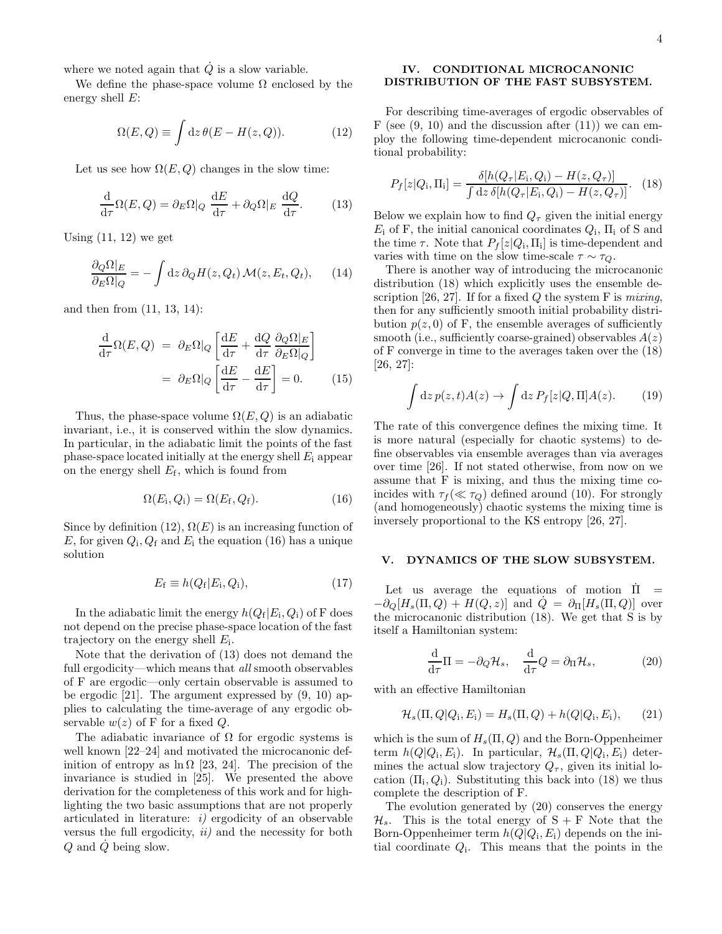where we noted again that  $\dot{Q}$  is a slow variable.

We define the phase-space volume  $\Omega$  enclosed by the energy shell  $E$ :

$$
\Omega(E, Q) \equiv \int \mathrm{d}z \,\theta(E - H(z, Q)). \tag{12}
$$

Let us see how  $\Omega(E,Q)$  changes in the slow time:

$$
\frac{\mathrm{d}}{\mathrm{d}\tau}\Omega(E,Q) = \partial_E \Omega|_Q \frac{\mathrm{d}E}{\mathrm{d}\tau} + \partial_Q \Omega|_E \frac{\mathrm{d}Q}{\mathrm{d}\tau}.\tag{13}
$$

Using  $(11, 12)$  we get

$$
\frac{\partial_Q \Omega|_E}{\partial_E \Omega|_Q} = -\int dz \, \partial_Q H(z, Q_t) \, \mathcal{M}(z, E_t, Q_t), \qquad (14)
$$

and then from (11, 13, 14):

$$
\frac{\mathrm{d}}{\mathrm{d}\tau}\Omega(E,Q) = \partial_E \Omega|_Q \left[ \frac{\mathrm{d}E}{\mathrm{d}\tau} + \frac{\mathrm{d}Q}{\mathrm{d}\tau} \frac{\partial_Q \Omega|_E}{\partial_E \Omega|_Q} \right]
$$
\n
$$
= \partial_E \Omega|_Q \left[ \frac{\mathrm{d}E}{\mathrm{d}\tau} - \frac{\mathrm{d}E}{\mathrm{d}\tau} \right] = 0. \tag{15}
$$

Thus, the phase-space volume  $\Omega(E,Q)$  is an adiabatic invariant, i.e., it is conserved within the slow dynamics. In particular, in the adiabatic limit the points of the fast phase-space located initially at the energy shell  $E_i$  appear on the energy shell  $E_f$ , which is found from

$$
\Omega(E_{\rm i}, Q_{\rm i}) = \Omega(E_{\rm f}, Q_{\rm f}). \tag{16}
$$

Since by definition (12),  $\Omega(E)$  is an increasing function of E, for given  $Q_i$ ,  $Q_f$  and  $E_i$  the equation (16) has a unique solution

$$
E_{\rm f} \equiv h(Q_{\rm f}|E_{\rm i},Q_{\rm i}),\tag{17}
$$

In the adiabatic limit the energy  $h(Q_f|E_i, Q_i)$  of F does not depend on the precise phase-space location of the fast trajectory on the energy shell  $E_i$ .

Note that the derivation of (13) does not demand the full ergodicity—which means that *all* smooth observables of F are ergodic—only certain observable is assumed to be ergodic [21]. The argument expressed by (9, 10) applies to calculating the time-average of any ergodic observable  $w(z)$  of F for a fixed Q.

The adiabatic invariance of  $\Omega$  for ergodic systems is well known [22–24] and motivated the microcanonic definition of entropy as  $\ln \Omega$  [23, 24]. The precision of the invariance is studied in [25]. We presented the above derivation for the completeness of this work and for highlighting the two basic assumptions that are not properly articulated in literature:  $i$ ) ergodicity of an observable versus the full ergodicity,  $ii)$  and the necessity for both Q and Q˙ being slow.

## IV. CONDITIONAL MICROCANONIC DISTRIBUTION OF THE FAST SUBSYSTEM.

For describing time-averages of ergodic observables of F (see  $(9, 10)$ ) and the discussion after  $(11)$ ) we can employ the following time-dependent microcanonic conditional probability:

$$
P_f[z|Q_i, \Pi_i] = \frac{\delta[h(Q_\tau|E_i, Q_i) - H(z, Q_\tau)]}{\int dz \, \delta[h(Q_\tau|E_i, Q_i) - H(z, Q_\tau)]}.
$$
 (18)

Below we explain how to find  $Q_{\tau}$  given the initial energy  $E_i$  of F, the initial canonical coordinates  $Q_i$ ,  $\Pi_i$  of S and the time  $\tau$ . Note that  $P_f[z|Q_i,\Pi_i]$  is time-dependent and varies with time on the slow time-scale  $\tau \sim \tau_Q$ .

There is another way of introducing the microcanonic distribution (18) which explicitly uses the ensemble description [26, 27]. If for a fixed  $Q$  the system F is *mixing*, then for any sufficiently smooth initial probability distribution  $p(z, 0)$  of F, the ensemble averages of sufficiently smooth (i.e., sufficiently coarse-grained) observables  $A(z)$ of F converge in time to the averages taken over the (18) [26, 27]:

$$
\int dz \, p(z, t) A(z) \to \int dz \, P_f[z|Q, \Pi] A(z). \tag{19}
$$

The rate of this convergence defines the mixing time. It is more natural (especially for chaotic systems) to define observables via ensemble averages than via averages over time [26]. If not stated otherwise, from now on we assume that F is mixing, and thus the mixing time coincides with  $\tau_f (\ll \tau_Q)$  defined around (10). For strongly (and homogeneously) chaotic systems the mixing time is inversely proportional to the KS entropy [26, 27].

#### V. DYNAMICS OF THE SLOW SUBSYSTEM.

Let us average the equations of motion  $\Pi$  =  $-\partial_Q[H_s(\Pi, Q) + H(Q, z)]$  and  $Q = \partial_{\Pi}[H_s(\Pi, Q)]$  over the microcanonic distribution (18). We get that S is by itself a Hamiltonian system:

$$
\frac{\mathrm{d}}{\mathrm{d}\tau}\Pi = -\partial_Q \mathcal{H}_s, \quad \frac{\mathrm{d}}{\mathrm{d}\tau}Q = \partial_\Pi \mathcal{H}_s,\tag{20}
$$

with an effective Hamiltonian

$$
\mathcal{H}_s(\Pi, Q|Q_i, E_i) = H_s(\Pi, Q) + h(Q|Q_i, E_i), \qquad (21)
$$

which is the sum of  $H_s(\Pi, Q)$  and the Born-Oppenheimer term  $h(Q|Q_i, E_i)$ . In particular,  $\mathcal{H}_s(\Pi, Q|Q_i, E_i)$  determines the actual slow trajectory  $Q_{\tau}$ , given its initial location  $(\Pi_i, Q_i)$ . Substituting this back into (18) we thus complete the description of F.

The evolution generated by (20) conserves the energy  $\mathcal{H}_s$ . This is the total energy of  $S + F$  Note that the Born-Oppenheimer term  $h(Q|Q_i, E_i)$  depends on the initial coordinate  $Q_i$ . This means that the points in the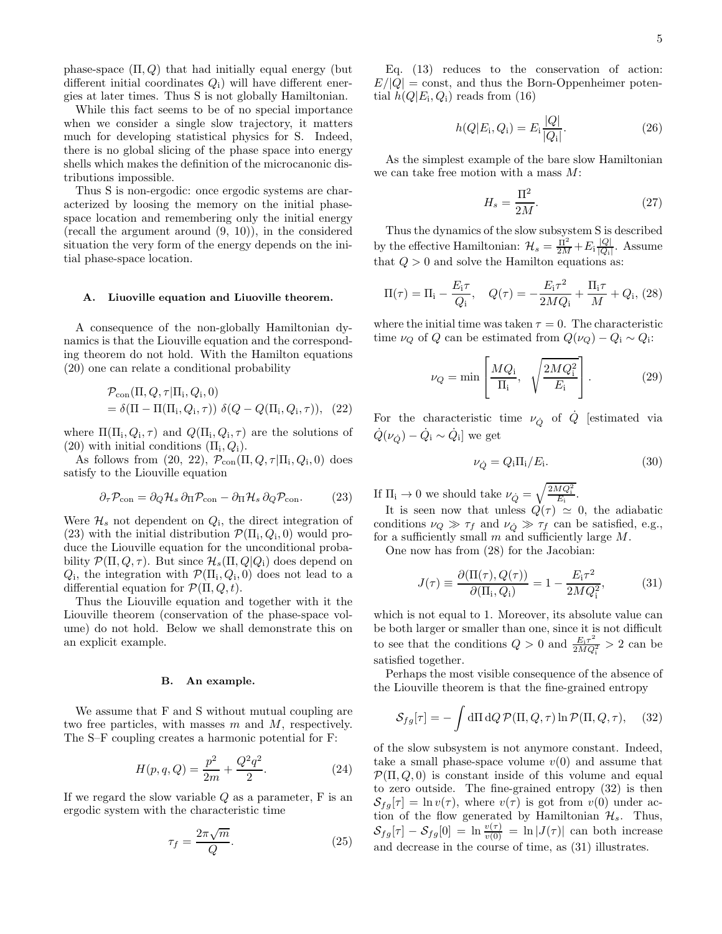phase-space  $(\Pi, Q)$  that had initially equal energy (but different initial coordinates  $Q_i$ ) will have different energies at later times. Thus S is not globally Hamiltonian.

While this fact seems to be of no special importance when we consider a single slow trajectory, it matters much for developing statistical physics for S. Indeed, there is no global slicing of the phase space into energy shells which makes the definition of the microcanonic distributions impossible.

Thus S is non-ergodic: once ergodic systems are characterized by loosing the memory on the initial phasespace location and remembering only the initial energy (recall the argument around (9, 10)), in the considered situation the very form of the energy depends on the initial phase-space location.

#### A. Liuoville equation and Liuoville theorem.

A consequence of the non-globally Hamiltonian dynamics is that the Liouville equation and the corresponding theorem do not hold. With the Hamilton equations (20) one can relate a conditional probability

$$
\mathcal{P}_{con}(\Pi, Q, \tau | \Pi_i, Q_i, 0)
$$
  
=  $\delta(\Pi - \Pi(\Pi_i, Q_i, \tau)) \delta(Q - Q(\Pi_i, Q_i, \tau)), (22)$ 

where  $\Pi(\Pi_i, Q_i, \tau)$  and  $Q(\Pi_i, Q_i, \tau)$  are the solutions of  $(20)$  with initial conditions  $(\Pi_i, Q_i)$ .

As follows from  $(20, 22)$ ,  $\mathcal{P}_{con}(\Pi, Q, \tau | \Pi_i, Q_i, 0)$  does satisfy to the Liouville equation

$$
\partial_{\tau} \mathcal{P}_{con} = \partial_{Q} \mathcal{H}_{s} \partial_{\Pi} \mathcal{P}_{con} - \partial_{\Pi} \mathcal{H}_{s} \partial_{Q} \mathcal{P}_{con}.
$$
 (23)

Were  $\mathcal{H}_s$  not dependent on  $Q_i$ , the direct integration of (23) with the initial distribution  $\mathcal{P}(\Pi_i, Q_i, 0)$  would produce the Liouville equation for the unconditional probability  $\mathcal{P}(\Pi, Q, \tau)$ . But since  $\mathcal{H}_s(\Pi, Q|Q_i)$  does depend on  $Q_i$ , the integration with  $\mathcal{P}(\Pi_i, Q_i, 0)$  does not lead to a differential equation for  $\mathcal{P}(\Pi, Q, t)$ .

Thus the Liouville equation and together with it the Liouville theorem (conservation of the phase-space volume) do not hold. Below we shall demonstrate this on an explicit example.

#### B. An example.

We assume that F and S without mutual coupling are two free particles, with masses m and M, respectively. The S–F coupling creates a harmonic potential for F:

$$
H(p,q,Q) = \frac{p^2}{2m} + \frac{Q^2 q^2}{2}.
$$
 (24)

If we regard the slow variable  $Q$  as a parameter,  $F$  is an ergodic system with the characteristic time

$$
\tau_f = \frac{2\pi\sqrt{m}}{Q}.\tag{25}
$$

Eq. (13) reduces to the conservation of action:  $E/|Q| = \text{const}$ , and thus the Born-Oppenheimer potential  $h(Q|E_i, Q_i)$  reads from (16)

$$
h(Q|E_i, Q_i) = E_i \frac{|Q|}{|Q_i|}.
$$
\n(26)

As the simplest example of the bare slow Hamiltonian we can take free motion with a mass M:

$$
H_s = \frac{\Pi^2}{2M}.\tag{27}
$$

Thus the dynamics of the slow subsystem S is described by the effective Hamiltonian:  $\mathcal{H}_s = \frac{\tilde{\Pi}^2}{2M} + E_i \frac{|Q|}{|Q_i|}$  $\frac{|Q|}{|Q_i|}$ . Assume that  $Q > 0$  and solve the Hamilton equations as:

$$
\Pi(\tau) = \Pi_{i} - \frac{E_{i}\tau}{Q_{i}}, \quad Q(\tau) = -\frac{E_{i}\tau^{2}}{2MQ_{i}} + \frac{\Pi_{i}\tau}{M} + Q_{i}, (28)
$$

where the initial time was taken  $\tau = 0$ . The characteristic time  $\nu_Q$  of Q can be estimated from  $Q(\nu_Q) - Q_i \sim Q_i$ :

$$
\nu_Q = \min \left[ \frac{MQ_i}{\Pi_i}, \quad \sqrt{\frac{2MQ_i^2}{E_i}} \right]. \tag{29}
$$

For the characteristic time  $\nu_{\dot{Q}}$  of  $\dot{Q}$  [estimated via  $\dot{Q}(\nu_{\dot{Q}}) - \dot{Q}_{\rm i} \sim \dot{Q}_{\rm i}]$  we get

$$
\nu_{\dot{Q}} = Q_{\rm i} \Pi_{\rm i}/E_{\rm i}.\tag{30}
$$

If  $\Pi_i \to 0$  we should take  $\nu_{\dot{Q}} = \sqrt{\frac{2MQ_i^2}{E_i}}$ .

It is seen now that unless  $Q(\tau) \simeq 0$ , the adiabatic conditions  $\nu_Q \gg \tau_f$  and  $\nu_Q \gg \tau_f$  can be satisfied, e.g., for a sufficiently small  $m$  and sufficiently large  $M$ .

One now has from (28) for the Jacobian:

$$
J(\tau) \equiv \frac{\partial(\Pi(\tau), Q(\tau))}{\partial(\Pi_i, Q_i)} = 1 - \frac{E_i \tau^2}{2MQ_i^2},\tag{31}
$$

which is not equal to 1. Moreover, its absolute value can be both larger or smaller than one, since it is not difficult to see that the conditions  $Q > 0$  and  $\frac{E_i \tau^2}{2 M Q}$  $\frac{E_i \tau^2}{2MQ_i^2} > 2$  can be satisfied together.

Perhaps the most visible consequence of the absence of the Liouville theorem is that the fine-grained entropy

$$
S_{fg}[\tau] = -\int d\Pi dQ \mathcal{P}(\Pi, Q, \tau) \ln \mathcal{P}(\Pi, Q, \tau), \quad (32)
$$

of the slow subsystem is not anymore constant. Indeed, take a small phase-space volume  $v(0)$  and assume that  $\mathcal{P}(\Pi, Q, 0)$  is constant inside of this volume and equal to zero outside. The fine-grained entropy (32) is then  $S_{fa}[\tau] = \ln v(\tau)$ , where  $v(\tau)$  is got from  $v(0)$  under action of the flow generated by Hamiltonian  $\mathcal{H}_s$ . Thus,  $S_{fg}[\tau] - S_{fg}[0] = \ln \frac{v(\tau)}{v(0)} = \ln |J(\tau)|$  can both increase and decrease in the course of time, as (31) illustrates.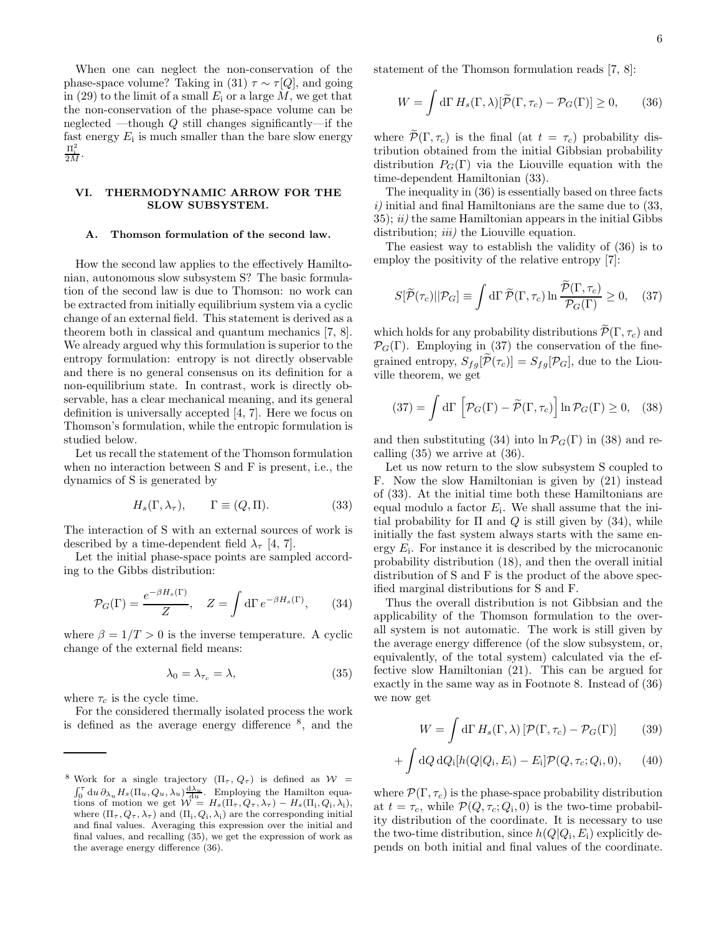When one can neglect the non-conservation of the phase-space volume? Taking in (31)  $\tau \sim \tau[Q]$ , and going in (29) to the limit of a small  $E_i$  or a large  $M$ , we get that the non-conservation of the phase-space volume can be neglected —though Q still changes significantly—if the fast energy  $E_i$  is much smaller than the bare slow energy  $\frac{\Pi_{\rm i}^2}{2M}$ .

## VI. THERMODYNAMIC ARROW FOR THE SLOW SUBSYSTEM.

### A. Thomson formulation of the second law.

How the second law applies to the effectively Hamiltonian, autonomous slow subsystem S? The basic formulation of the second law is due to Thomson: no work can be extracted from initially equilibrium system via a cyclic change of an external field. This statement is derived as a theorem both in classical and quantum mechanics [7, 8]. We already argued why this formulation is superior to the entropy formulation: entropy is not directly observable and there is no general consensus on its definition for a non-equilibrium state. In contrast, work is directly observable, has a clear mechanical meaning, and its general definition is universally accepted [4, 7]. Here we focus on Thomson's formulation, while the entropic formulation is studied below.

Let us recall the statement of the Thomson formulation when no interaction between S and F is present, i.e., the dynamics of S is generated by

$$
H_s(\Gamma, \lambda_\tau), \qquad \Gamma \equiv (Q, \Pi). \tag{33}
$$

The interaction of S with an external sources of work is described by a time-dependent field  $\lambda_{\tau}$  [4, 7].

Let the initial phase-space points are sampled according to the Gibbs distribution:

$$
\mathcal{P}_G(\Gamma) = \frac{e^{-\beta H_s(\Gamma)}}{Z}, \quad Z = \int d\Gamma \, e^{-\beta H_s(\Gamma)}, \qquad (34)
$$

where  $\beta = 1/T > 0$  is the inverse temperature. A cyclic change of the external field means:

$$
\lambda_0 = \lambda_{\tau_c} = \lambda,\tag{35}
$$

where  $\tau_c$  is the cycle time.

For the considered thermally isolated process the work is defined as the average energy difference <sup>8</sup> , and the statement of the Thomson formulation reads [7, 8]:

$$
W = \int d\Gamma \, H_s(\Gamma, \lambda) [\widetilde{\mathcal{P}}(\Gamma, \tau_c) - \mathcal{P}_G(\Gamma)] \ge 0, \qquad (36)
$$

where  $\widetilde{\mathcal{P}}(\Gamma, \tau_c)$  is the final (at  $t = \tau_c$ ) probability distribution obtained from the initial Gibbsian probability distribution  $P_G(\Gamma)$  via the Liouville equation with the time-dependent Hamiltonian (33).

The inequality in (36) is essentially based on three facts  $i)$  initial and final Hamiltonians are the same due to  $(33, 12)$  $35$ ;  $ii)$  the same Hamiltonian appears in the initial Gibbs distribution; *iii*) the Liouville equation.

The easiest way to establish the validity of (36) is to employ the positivity of the relative entropy [7]:

$$
S[\widetilde{\mathcal{P}}(\tau_c)||\mathcal{P}_G] \equiv \int d\Gamma \, \widetilde{\mathcal{P}}(\Gamma,\tau_c) \ln \frac{\widetilde{\mathcal{P}}(\Gamma,\tau_c)}{\mathcal{P}_G(\Gamma)} \ge 0, \quad (37)
$$

which holds for any probability distributions  $\widetilde{\mathcal{P}}(\Gamma, \tau_c)$  and  $\mathcal{P}_G(\Gamma)$ . Employing in (37) the conservation of the finegrained entropy,  $S_{fg}[\mathcal{P}(\tau_c)] = S_{fg}[\mathcal{P}_G]$ , due to the Liouville theorem, we get

$$
(37) = \int d\Gamma \left[ \mathcal{P}_G(\Gamma) - \tilde{\mathcal{P}}(\Gamma, \tau_c) \right] \ln \mathcal{P}_G(\Gamma) \ge 0, \quad (38)
$$

and then substituting (34) into  $\ln \mathcal{P}_G(\Gamma)$  in (38) and recalling (35) we arrive at (36).

Let us now return to the slow subsystem S coupled to F. Now the slow Hamiltonian is given by (21) instead of (33). At the initial time both these Hamiltonians are equal modulo a factor  $E_i$ . We shall assume that the initial probability for  $\Pi$  and  $Q$  is still given by (34), while initially the fast system always starts with the same energy  $E_i$ . For instance it is described by the microcanonic probability distribution (18), and then the overall initial distribution of S and F is the product of the above specified marginal distributions for S and F.

Thus the overall distribution is not Gibbsian and the applicability of the Thomson formulation to the overall system is not automatic. The work is still given by the average energy difference (of the slow subsystem, or, equivalently, of the total system) calculated via the effective slow Hamiltonian (21). This can be argued for exactly in the same way as in Footnote 8. Instead of (36) we now get

$$
W = \int d\Gamma \, H_s(\Gamma, \lambda) \left[ \mathcal{P}(\Gamma, \tau_c) - \mathcal{P}_G(\Gamma) \right] \tag{39}
$$

$$
+ \int dQ \, dQ_i[h(Q|Q_i, E_i) - E_i] \mathcal{P}(Q, \tau_c; Q_i, 0), \qquad (40)
$$

where  $\mathcal{P}(\Gamma, \tau_c)$  is the phase-space probability distribution at  $t = \tau_c$ , while  $\mathcal{P}(Q, \tau_c; Q_i, 0)$  is the two-time probability distribution of the coordinate. It is necessary to use the two-time distribution, since  $h(Q|Q_i, E_i)$  explicitly depends on both initial and final values of the coordinate.

<sup>&</sup>lt;sup>8</sup> Work for a single trajectory  $(\Pi_{\tau}, Q_{\tau})$  is defined as  $W =$  $\int_0^{\tau} du \, \partial_{\lambda_u} H_s(\Pi_u, Q_u, \lambda_u) \frac{d\lambda_u}{du}$ . Employing the Hamilton equations of motion we get  $W = H_s(\Pi_\tau, Q_\tau, \lambda_\tau) - H_s(\Pi_i, Q_i, \lambda_i),$ where  $(\Pi_{\tau}, Q_{\tau}, \lambda_{\tau})$  and  $(\Pi_{i}, Q_{i}, \lambda_{i})$  are the corresponding initial and final values. Averaging this expression over the initial and final values, and recalling (35), we get the expression of work as the average energy difference (36).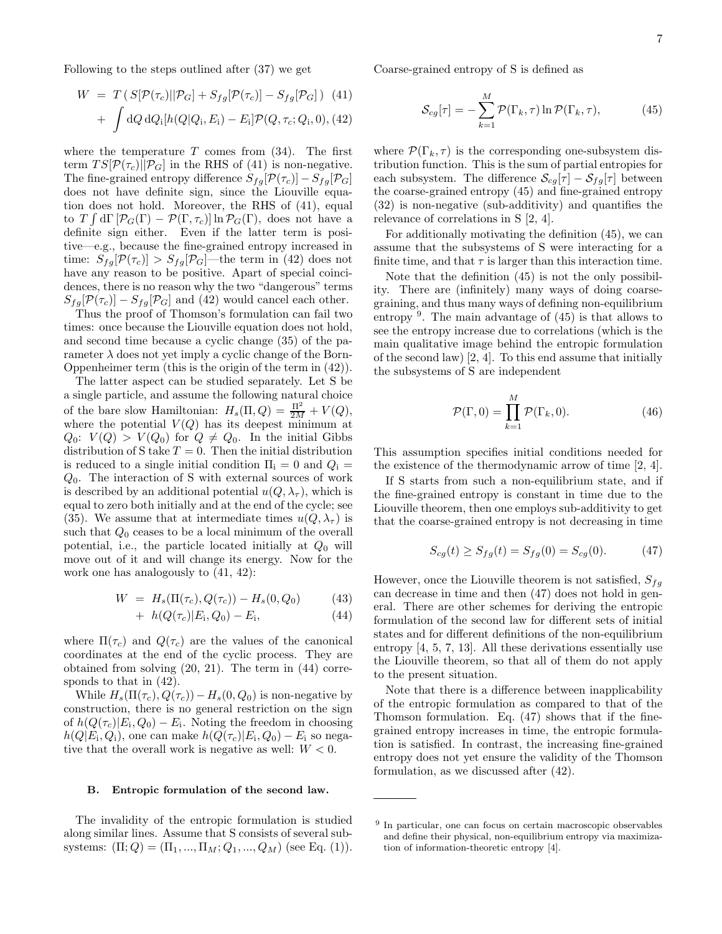Following to the steps outlined after (37) we get

$$
W = T (S[\mathcal{P}(\tau_c)||\mathcal{P}_G] + S_{fg}[\mathcal{P}(\tau_c)] - S_{fg}[\mathcal{P}_G])
$$
 (41)  
+ 
$$
\int dQ dQ_i[h(Q|Q_i, E_i) - E_i]\mathcal{P}(Q, \tau_c; Q_i, 0),
$$
 (42)

where the temperature  $T$  comes from  $(34)$ . The first term  $TS[\mathcal{P}(\tau_c)||\mathcal{P}_G]$  in the RHS of (41) is non-negative. The fine-grained entropy difference  $S_{fg}[\mathcal{P}(\tau_c)] - S_{fg}[\mathcal{P}_G]$ does not have definite sign, since the Liouville equation does not hold. Moreover, the RHS of (41), equal to  $T \int d\Gamma \left[ \mathcal{P}_G(\Gamma) - \mathcal{P}(\Gamma, \tau_c) \right] \ln \mathcal{P}_G(\Gamma)$ , does not have a definite sign either. Even if the latter term is positive—e.g., because the fine-grained entropy increased in time:  $S_{fg}[\mathcal{P}(\tau_c)] > S_{fg}[\mathcal{P}_G]$ —the term in (42) does not have any reason to be positive. Apart of special coincidences, there is no reason why the two "dangerous" terms  $S_{fq}[\mathcal{P}(\tau_c)] - S_{fq}[\mathcal{P}_G]$  and (42) would cancel each other.

Thus the proof of Thomson's formulation can fail two times: once because the Liouville equation does not hold, and second time because a cyclic change (35) of the parameter  $\lambda$  does not yet imply a cyclic change of the Born-Oppenheimer term (this is the origin of the term in (42)).

The latter aspect can be studied separately. Let S be a single particle, and assume the following natural choice of the bare slow Hamiltonian:  $H_s(\Pi, Q) = \frac{\Pi^2}{2M} + V(Q)$ , where the potential  $V(Q)$  has its deepest minimum at  $Q_0$ :  $V(Q) > V(Q_0)$  for  $Q \neq Q_0$ . In the initial Gibbs distribution of S take  $T = 0$ . Then the initial distribution is reduced to a single initial condition  $\Pi_i = 0$  and  $Q_i =$  $Q_0$ . The interaction of S with external sources of work is described by an additional potential  $u(Q, \lambda_{\tau})$ , which is equal to zero both initially and at the end of the cycle; see (35). We assume that at intermediate times  $u(Q, \lambda_\tau)$  is such that  $Q_0$  ceases to be a local minimum of the overall potential, i.e., the particle located initially at  $Q_0$  will move out of it and will change its energy. Now for the work one has analogously to (41, 42):

$$
W = H_s(\Pi(\tau_c), Q(\tau_c)) - H_s(0, Q_0)
$$
 (43)

+ 
$$
h(Q(\tau_c)|E_i, Q_0) - E_i,
$$
 (44)

where  $\Pi(\tau_c)$  and  $Q(\tau_c)$  are the values of the canonical coordinates at the end of the cyclic process. They are obtained from solving (20, 21). The term in (44) corresponds to that in (42).

While  $H_s(\Pi(\tau_c), Q(\tau_c)) - H_s(0, Q_0)$  is non-negative by construction, there is no general restriction on the sign of  $h(Q(\tau_c)|E_i,Q_0) - E_i$ . Noting the freedom in choosing  $h(Q|E_i, Q_i)$ , one can make  $h(Q(\tau_c)|E_i, Q_0) - E_i$  so negative that the overall work is negative as well:  $W < 0$ .

### B. Entropic formulation of the second law.

The invalidity of the entropic formulation is studied along similar lines. Assume that S consists of several subsystems:  $(\Pi; Q) = (\Pi_1, ..., \Pi_M; Q_1, ..., Q_M)$  (see Eq. (1)). Coarse-grained entropy of S is defined as

$$
\mathcal{S}_{cg}[\tau] = -\sum_{k=1}^{M} \mathcal{P}(\Gamma_k, \tau) \ln \mathcal{P}(\Gamma_k, \tau), \tag{45}
$$

where  $\mathcal{P}(\Gamma_k, \tau)$  is the corresponding one-subsystem distribution function. This is the sum of partial entropies for each subsystem. The difference  $\mathcal{S}_{cg}[\tau] - \mathcal{S}_{fg}[\tau]$  between the coarse-grained entropy (45) and fine-grained entropy (32) is non-negative (sub-additivity) and quantifies the relevance of correlations in S [2, 4].

For additionally motivating the definition (45), we can assume that the subsystems of S were interacting for a finite time, and that  $\tau$  is larger than this interaction time.

Note that the definition (45) is not the only possibility. There are (infinitely) many ways of doing coarsegraining, and thus many ways of defining non-equilibrium entropy <sup>9</sup> . The main advantage of (45) is that allows to see the entropy increase due to correlations (which is the main qualitative image behind the entropic formulation of the second law) [2, 4]. To this end assume that initially the subsystems of S are independent

$$
\mathcal{P}(\Gamma,0) = \prod_{k=1}^{M} \mathcal{P}(\Gamma_k,0). \tag{46}
$$

This assumption specifies initial conditions needed for the existence of the thermodynamic arrow of time [2, 4].

If S starts from such a non-equilibrium state, and if the fine-grained entropy is constant in time due to the Liouville theorem, then one employs sub-additivity to get that the coarse-grained entropy is not decreasing in time

$$
S_{cg}(t) \ge S_{fg}(t) = S_{fg}(0) = S_{cg}(0). \tag{47}
$$

However, once the Liouville theorem is not satisfied,  $S_{fa}$ can decrease in time and then (47) does not hold in general. There are other schemes for deriving the entropic formulation of the second law for different sets of initial states and for different definitions of the non-equilibrium entropy [4, 5, 7, 13]. All these derivations essentially use the Liouville theorem, so that all of them do not apply to the present situation.

Note that there is a difference between inapplicability of the entropic formulation as compared to that of the Thomson formulation. Eq. (47) shows that if the finegrained entropy increases in time, the entropic formulation is satisfied. In contrast, the increasing fine-grained entropy does not yet ensure the validity of the Thomson formulation, as we discussed after (42).

<sup>&</sup>lt;sup>9</sup> In particular, one can focus on certain macroscopic observables and define their physical, non-equilibrium entropy via maximization of information-theoretic entropy [4].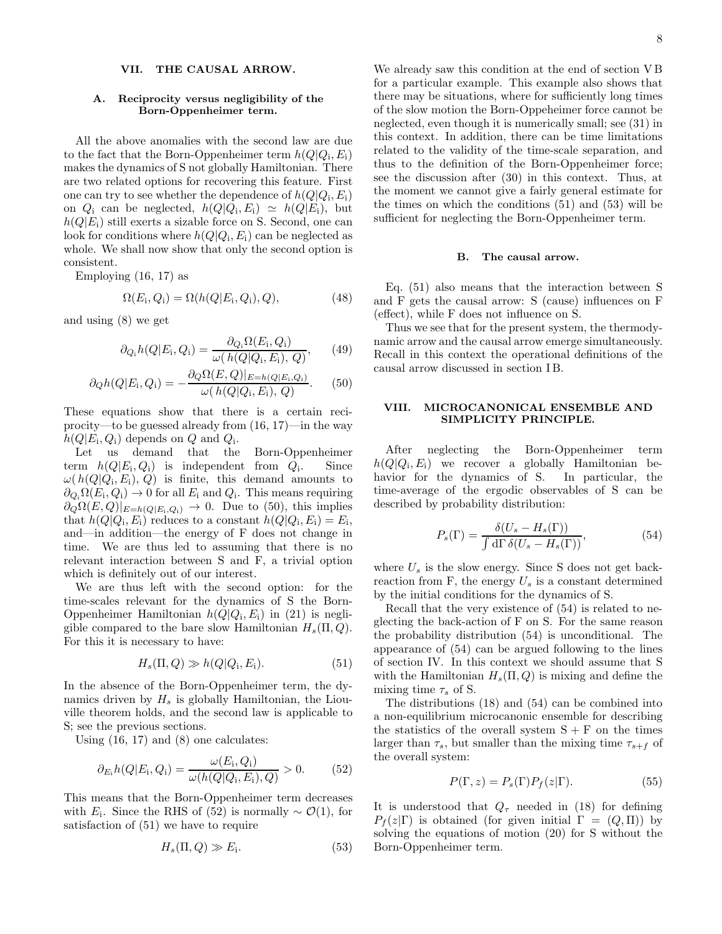## VII. THE CAUSAL ARROW.

## A. Reciprocity versus negligibility of the Born-Oppenheimer term.

All the above anomalies with the second law are due to the fact that the Born-Oppenheimer term  $h(Q|Q_i, E_i)$ makes the dynamics of S not globally Hamiltonian. There are two related options for recovering this feature. First one can try to see whether the dependence of  $h(Q|Q_i, E_i)$ on  $Q_i$  can be neglected,  $h(Q|Q_i, E_i) \simeq h(Q|E_i)$ , but  $h(Q|E_i)$  still exerts a sizable force on S. Second, one can look for conditions where  $h(Q|Q_i, E_i)$  can be neglected as whole. We shall now show that only the second option is consistent.

Employing (16, 17) as

$$
\Omega(E_i, Q_i) = \Omega(h(Q|E_i, Q_i), Q), \tag{48}
$$

and using (8) we get

$$
\partial_{Q_i} h(Q|E_i, Q_i) = \frac{\partial_{Q_i} \Omega(E_i, Q_i)}{\omega(h(Q|Q_i, E_i), Q)}, \qquad (49)
$$

$$
\partial_Q h(Q|E_i, Q_i) = -\frac{\partial_Q \Omega(E, Q)|_{E=h(Q|E_i, Q_i)}}{\omega(h(Q|Q_i, E_i), Q)}.
$$
 (50)

These equations show that there is a certain reciprocity—to be guessed already from (16, 17)—in the way  $h(Q|E_i, Q_i)$  depends on Q and  $Q_i$ .

Let us demand that the Born-Oppenheimer term  $h(Q|E_i, Q_i)$  is independent from  $Q_i$ . Since  $\omega(h(Q|Q_i, E_i), Q)$  is finite, this demand amounts to  $\partial_{Q_i}\Omega(E_i, Q_i) \to 0$  for all  $E_i$  and  $Q_i$ . This means requiring  $\partial_Q\Omega(E,Q)|_{E=h(Q|E_i,Q_i)} \to 0$ . Due to (50), this implies that  $h(Q|Q_i, E_i)$  reduces to a constant  $h(Q|Q_i, E_i) = E_i$ , and—in addition—the energy of F does not change in time. We are thus led to assuming that there is no relevant interaction between S and F, a trivial option which is definitely out of our interest.

We are thus left with the second option: for the time-scales relevant for the dynamics of S the Born-Oppenheimer Hamiltonian  $h(Q|Q_i, E_i)$  in (21) is negligible compared to the bare slow Hamiltonian  $H_s(\Pi, Q)$ . For this it is necessary to have:

$$
H_s(\Pi, Q) \gg h(Q|Q_i, E_i). \tag{51}
$$

In the absence of the Born-Oppenheimer term, the dynamics driven by  $H_s$  is globally Hamiltonian, the Liouville theorem holds, and the second law is applicable to S; see the previous sections.

Using  $(16, 17)$  and  $(8)$  one calculates:

$$
\partial_{E_i} h(Q|E_i, Q_i) = \frac{\omega(E_i, Q_i)}{\omega(h(Q|Q_i, E_i), Q)} > 0. \tag{52}
$$

This means that the Born-Oppenheimer term decreases with  $E_i$ . Since the RHS of (52) is normally ~  $\mathcal{O}(1)$ , for satisfaction of (51) we have to require

$$
H_s(\Pi, Q) \gg E_i. \tag{53}
$$

We already saw this condition at the end of section V B for a particular example. This example also shows that there may be situations, where for sufficiently long times of the slow motion the Born-Oppeheimer force cannot be neglected, even though it is numerically small; see (31) in this context. In addition, there can be time limitations related to the validity of the time-scale separation, and thus to the definition of the Born-Oppenheimer force; see the discussion after (30) in this context. Thus, at the moment we cannot give a fairly general estimate for the times on which the conditions (51) and (53) will be sufficient for neglecting the Born-Oppenheimer term.

#### B. The causal arrow.

Eq. (51) also means that the interaction between S and F gets the causal arrow: S (cause) influences on F (effect), while F does not influence on S.

Thus we see that for the present system, the thermodynamic arrow and the causal arrow emerge simultaneously. Recall in this context the operational definitions of the causal arrow discussed in section I B.

## VIII. MICROCANONICAL ENSEMBLE AND SIMPLICITY PRINCIPLE.

After neglecting the Born-Oppenheimer term  $h(Q|Q_i, E_i)$  we recover a globally Hamiltonian behavior for the dynamics of S. In particular, the time-average of the ergodic observables of S can be described by probability distribution:

$$
P_s(\Gamma) = \frac{\delta(U_s - H_s(\Gamma))}{\int d\Gamma \, \delta(U_s - H_s(\Gamma))},\tag{54}
$$

where  $U_s$  is the slow energy. Since S does not get backreaction from F, the energy  $U_s$  is a constant determined by the initial conditions for the dynamics of S.

Recall that the very existence of (54) is related to neglecting the back-action of F on S. For the same reason the probability distribution (54) is unconditional. The appearance of (54) can be argued following to the lines of section IV. In this context we should assume that S with the Hamiltonian  $H_s(\Pi, Q)$  is mixing and define the mixing time  $\tau_s$  of S.

The distributions (18) and (54) can be combined into a non-equilibrium microcanonic ensemble for describing the statistics of the overall system  $S + F$  on the times larger than  $\tau_s$ , but smaller than the mixing time  $\tau_{s+f}$  of the overall system:

$$
P(\Gamma, z) = P_s(\Gamma) P_f(z|\Gamma). \tag{55}
$$

It is understood that  $Q_{\tau}$  needed in (18) for defining  $P_f(z|\Gamma)$  is obtained (for given initial  $\Gamma = (Q,\Pi)$ ) by solving the equations of motion (20) for S without the Born-Oppenheimer term.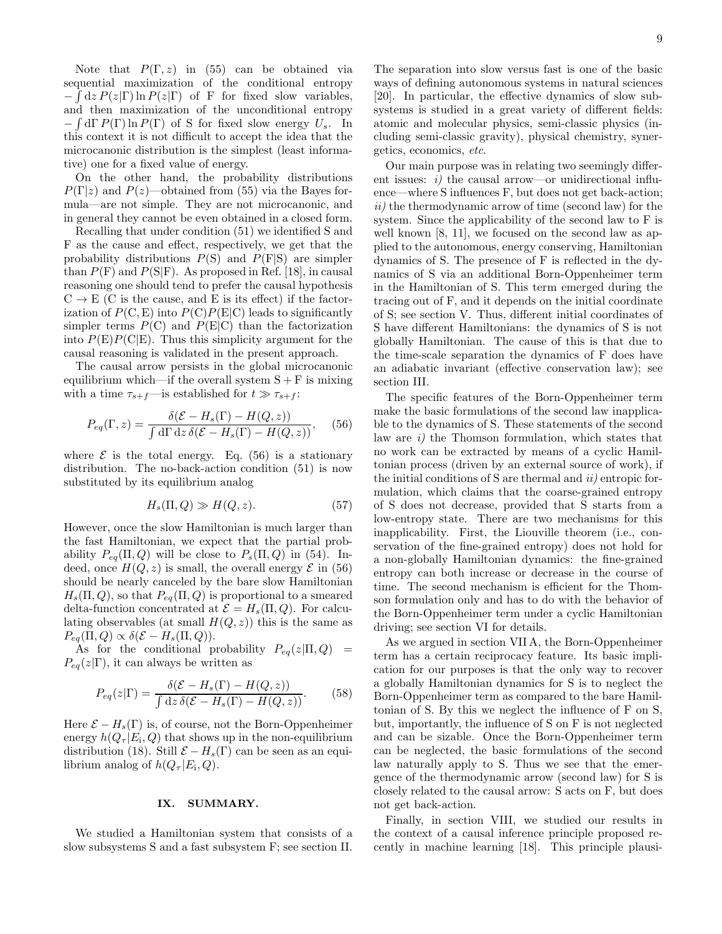Note that  $P(\Gamma, z)$  in (55) can be obtained via sequential maximization of the conditional entropy  $-\int dz P(z|\Gamma) \ln P(z|\Gamma)$  of F for fixed slow variables, and then maximization of the unconditional entropy  $-\int d\Gamma P(\Gamma) \ln P(\Gamma)$  of S for fixed slow energy  $U_s$ . In this context it is not difficult to accept the idea that the microcanonic distribution is the simplest (least informative) one for a fixed value of energy.

On the other hand, the probability distributions  $P(\Gamma|z)$  and  $P(z)$ —obtained from (55) via the Bayes formula—are not simple. They are not microcanonic, and in general they cannot be even obtained in a closed form.

Recalling that under condition (51) we identified S and F as the cause and effect, respectively, we get that the probability distributions  $P(S)$  and  $P(F|S)$  are simpler than  $P(F)$  and  $P(S|F)$ . As proposed in Ref. [18], in causal reasoning one should tend to prefer the causal hypothesis  $C \rightarrow E$  (C is the cause, and E is its effect) if the factorization of  $P(C, E)$  into  $P(C)P(E|C)$  leads to significantly simpler terms  $P(C)$  and  $P(E|C)$  than the factorization into  $P(E)P(C|E)$ . Thus this simplicity argument for the causal reasoning is validated in the present approach.

The causal arrow persists in the global microcanonic equilibrium which—if the overall system  $S + F$  is mixing with a time  $\tau_{s+f}$ —is established for  $t \gg \tau_{s+f}$ :

$$
P_{eq}(\Gamma, z) = \frac{\delta(\mathcal{E} - H_s(\Gamma) - H(Q, z))}{\int d\Gamma \, dz \, \delta(\mathcal{E} - H_s(\Gamma) - H(Q, z))}, \quad (56)
$$

where  $\mathcal E$  is the total energy. Eq. (56) is a stationary distribution. The no-back-action condition (51) is now substituted by its equilibrium analog

$$
H_s(\Pi, Q) \gg H(Q, z). \tag{57}
$$

However, once the slow Hamiltonian is much larger than the fast Hamiltonian, we expect that the partial probability  $P_{eq}(\Pi, Q)$  will be close to  $P_s(\Pi, Q)$  in (54). Indeed, once  $H(Q, z)$  is small, the overall energy  $\mathcal E$  in (56) should be nearly canceled by the bare slow Hamiltonian  $H_s(\Pi, Q)$ , so that  $P_{eq}(\Pi, Q)$  is proportional to a smeared delta-function concentrated at  $\mathcal{E} = H_s(\Pi, Q)$ . For calculating observables (at small  $H(Q, z)$ ) this is the same as  $P_{eq}(\Pi, Q) \propto \delta(\mathcal{E} - H_s(\Pi, Q)).$ 

As for the conditional probability  $P_{eq}(z|\Pi, Q)$  =  $P_{eq}(z|\Gamma)$ , it can always be written as

$$
P_{eq}(z|\Gamma) = \frac{\delta(\mathcal{E} - H_s(\Gamma) - H(Q, z))}{\int dz \, \delta(\mathcal{E} - H_s(\Gamma) - H(Q, z))}.
$$
 (58)

Here  $\mathcal{E} - H_s(\Gamma)$  is, of course, not the Born-Oppenheimer energy  $h(Q_\tau | E_i, Q)$  that shows up in the non-equilibrium distribution (18). Still  $\mathcal{E} - H_s(\Gamma)$  can be seen as an equilibrium analog of  $h(Q_\tau|E_i, Q)$ .

### IX. SUMMARY.

We studied a Hamiltonian system that consists of a slow subsystems S and a fast subsystem F; see section II.

The separation into slow versus fast is one of the basic ways of defining autonomous systems in natural sciences [20]. In particular, the effective dynamics of slow subsystems is studied in a great variety of different fields: atomic and molecular physics, semi-classic physics (including semi-classic gravity), physical chemistry, synergetics, economics, etc.

Our main purpose was in relating two seemingly different issues:  $i)$  the causal arrow—or unidirectional influence—where S influences F, but does not get back-action;  $ii)$  the thermodynamic arrow of time (second law) for the system. Since the applicability of the second law to F is well known [8, 11], we focused on the second law as applied to the autonomous, energy conserving, Hamiltonian dynamics of S. The presence of F is reflected in the dynamics of S via an additional Born-Oppenheimer term in the Hamiltonian of S. This term emerged during the tracing out of F, and it depends on the initial coordinate of S; see section V. Thus, different initial coordinates of S have different Hamiltonians: the dynamics of S is not globally Hamiltonian. The cause of this is that due to the time-scale separation the dynamics of F does have an adiabatic invariant (effective conservation law); see section III.

The specific features of the Born-Oppenheimer term make the basic formulations of the second law inapplicable to the dynamics of S. These statements of the second law are i) the Thomson formulation, which states that no work can be extracted by means of a cyclic Hamiltonian process (driven by an external source of work), if the initial conditions of S are thermal and  $ii$ ) entropic formulation, which claims that the coarse-grained entropy of S does not decrease, provided that S starts from a low-entropy state. There are two mechanisms for this inapplicability. First, the Liouville theorem (i.e., conservation of the fine-grained entropy) does not hold for a non-globally Hamiltonian dynamics: the fine-grained entropy can both increase or decrease in the course of time. The second mechanism is efficient for the Thomson formulation only and has to do with the behavior of the Born-Oppenheimer term under a cyclic Hamiltonian driving; see section VI for details.

As we argued in section VII A, the Born-Oppenheimer term has a certain reciprocacy feature. Its basic implication for our purposes is that the only way to recover a globally Hamiltonian dynamics for S is to neglect the Born-Oppenheimer term as compared to the bare Hamiltonian of S. By this we neglect the influence of F on S, but, importantly, the influence of S on F is not neglected and can be sizable. Once the Born-Oppenheimer term can be neglected, the basic formulations of the second law naturally apply to S. Thus we see that the emergence of the thermodynamic arrow (second law) for S is closely related to the causal arrow: S acts on F, but does not get back-action.

Finally, in section VIII, we studied our results in the context of a causal inference principle proposed recently in machine learning [18]. This principle plausi